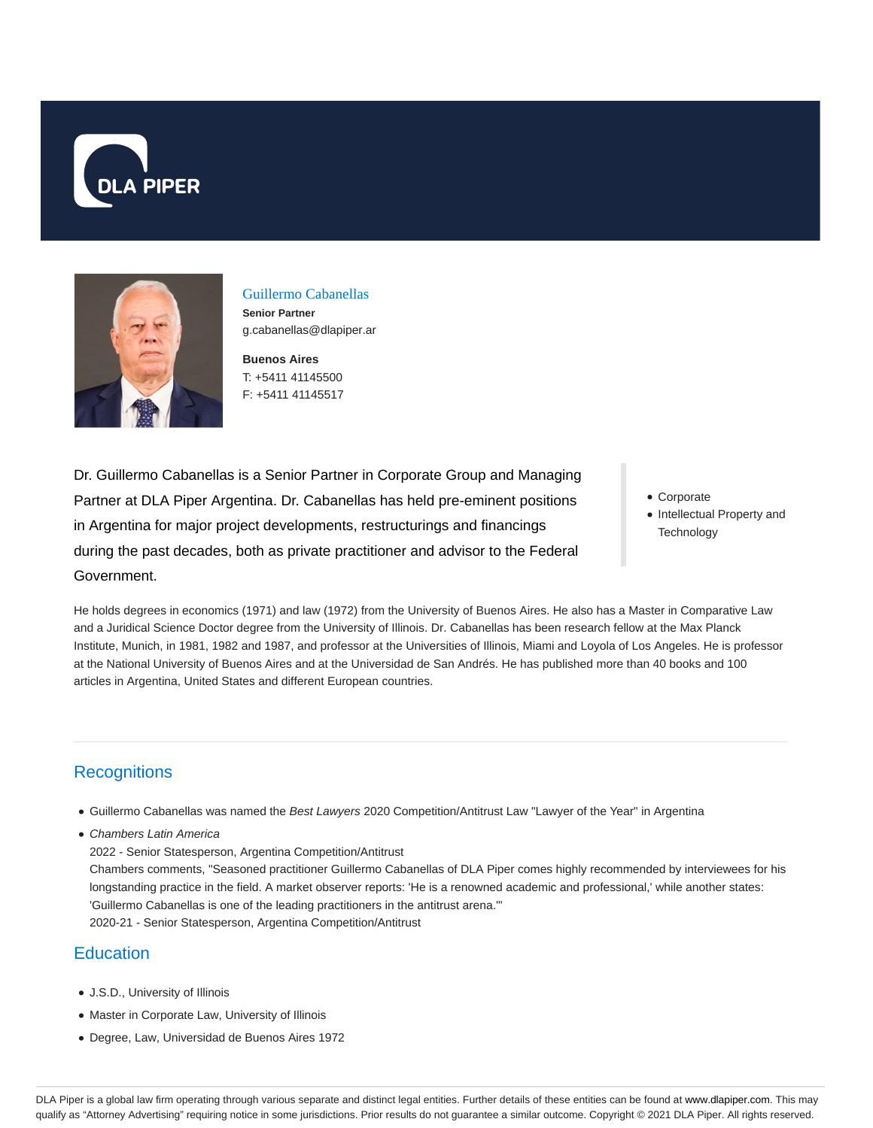



#### Guillermo Cabanellas **Senior Partner** g.cabanellas@dlapiper.ar

**Buenos Aires** T: +5411 41145500 F: +5411 41145517

Dr. Guillermo Cabanellas is a Senior Partner in Corporate Group and Managing Partner at DLA Piper Argentina. Dr. Cabanellas has held pre-eminent positions in Argentina for major project developments, restructurings and financings during the past decades, both as private practitioner and advisor to the Federal Government.

- Corporate
- Intellectual Property and **Technology**

He holds degrees in economics (1971) and law (1972) from the University of Buenos Aires. He also has a Master in Comparative Law and a Juridical Science Doctor degree from the University of Illinois. Dr. Cabanellas has been research fellow at the Max Planck Institute, Munich, in 1981, 1982 and 1987, and professor at the Universities of Illinois, Miami and Loyola of Los Angeles. He is professor at the National University of Buenos Aires and at the Universidad de San Andrés. He has published more than 40 books and 100 articles in Argentina, United States and different European countries.

# **Recognitions**

- Guillermo Cabanellas was named the Best Lawyers 2020 Competition/Antitrust Law "Lawyer of the Year" in Argentina
- Chambers Latin America

2022 - Senior Statesperson, Argentina Competition/Antitrust Chambers comments, "Seasoned practitioner Guillermo Cabanellas of DLA Piper comes highly recommended by interviewees for his longstanding practice in the field. A market observer reports: 'He is a renowned academic and professional,' while another states: 'Guillermo Cabanellas is one of the leading practitioners in the antitrust arena.'" 2020-21 - Senior Statesperson, Argentina Competition/Antitrust

# **Education**

- J.S.D., University of Illinois
- Master in Corporate Law, University of Illinois
- Degree, Law, Universidad de Buenos Aires 1972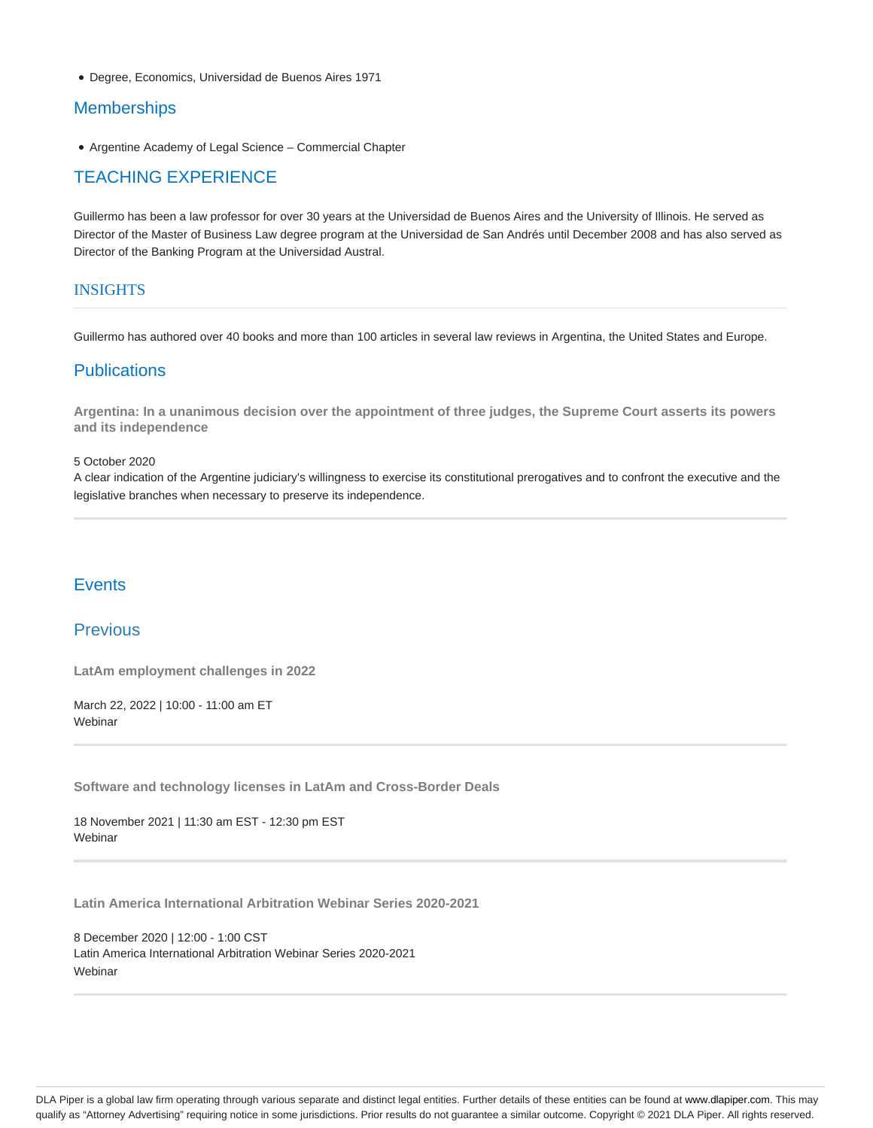Degree, Economics, Universidad de Buenos Aires 1971

### **Memberships**

Argentine Academy of Legal Science – Commercial Chapter

# TEACHING EXPERIENCE

Guillermo has been a law professor for over 30 years at the Universidad de Buenos Aires and the University of Illinois. He served as Director of the Master of Business Law degree program at the Universidad de San Andrés until December 2008 and has also served as Director of the Banking Program at the Universidad Austral.

#### INSIGHTS

Guillermo has authored over 40 books and more than 100 articles in several law reviews in Argentina, the United States and Europe.

## **Publications**

**Argentina: In a unanimous decision over the appointment of three judges, the Supreme Court asserts its powers and its independence**

#### 5 October 2020

A clear indication of the Argentine judiciary's willingness to exercise its constitutional prerogatives and to confront the executive and the legislative branches when necessary to preserve its independence.

# **Events**

# Previous

**LatAm employment challenges in 2022**

March 22, 2022 | 10:00 - 11:00 am ET **Webinar** 

**Software and technology licenses in LatAm and Cross-Border Deals**

18 November 2021 | 11:30 am EST - 12:30 pm EST **Webinar** 

**Latin America International Arbitration Webinar Series 2020-2021**

8 December 2020 | 12:00 - 1:00 CST Latin America International Arbitration Webinar Series 2020-2021 Webinar